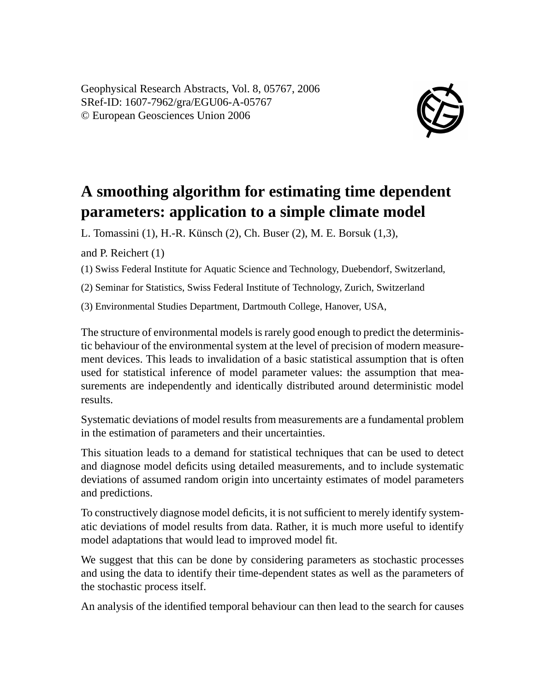Geophysical Research Abstracts, Vol. 8, 05767, 2006 SRef-ID: 1607-7962/gra/EGU06-A-05767 © European Geosciences Union 2006



## **A smoothing algorithm for estimating time dependent parameters: application to a simple climate model**

L. Tomassini (1), H.-R. Künsch (2), Ch. Buser (2), M. E. Borsuk (1,3),

and P. Reichert (1)

(1) Swiss Federal Institute for Aquatic Science and Technology, Duebendorf, Switzerland,

(2) Seminar for Statistics, Swiss Federal Institute of Technology, Zurich, Switzerland

(3) Environmental Studies Department, Dartmouth College, Hanover, USA,

The structure of environmental models is rarely good enough to predict the deterministic behaviour of the environmental system at the level of precision of modern measurement devices. This leads to invalidation of a basic statistical assumption that is often used for statistical inference of model parameter values: the assumption that measurements are independently and identically distributed around deterministic model results.

Systematic deviations of model results from measurements are a fundamental problem in the estimation of parameters and their uncertainties.

This situation leads to a demand for statistical techniques that can be used to detect and diagnose model deficits using detailed measurements, and to include systematic deviations of assumed random origin into uncertainty estimates of model parameters and predictions.

To constructively diagnose model deficits, it is not sufficient to merely identify systematic deviations of model results from data. Rather, it is much more useful to identify model adaptations that would lead to improved model fit.

We suggest that this can be done by considering parameters as stochastic processes and using the data to identify their time-dependent states as well as the parameters of the stochastic process itself.

An analysis of the identified temporal behaviour can then lead to the search for causes